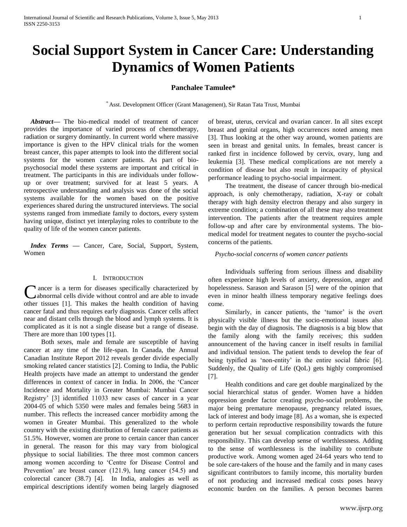# **Social Support System in Cancer Care: Understanding Dynamics of Women Patients**

# **Panchalee Tamulee\***

\* Asst. Development Officer (Grant Management), Sir Ratan Tata Trust, Mumbai

*Abstract***—** The bio-medical model of treatment of cancer provides the importance of varied process of chemotherapy, radiation or surgery dominantly. In current world where massive importance is given to the HPV clinical trials for the women breast cancer, this paper attempts to look into the different social systems for the women cancer patients. As part of biopsychosocial model these systems are important and critical in treatment. The participants in this are individuals under followup or over treatment; survived for at least 5 years. A retrospective understanding and analysis was done of the social systems available for the women based on the positive experiences shared during the unstructured interviews. The social systems ranged from immediate family to doctors, every system having unique, distinct yet interplaying roles to contribute to the quality of life of the women cancer patients.

*Index Terms* **—** Cancer, Care, Social, Support, System, Women

# I. INTRODUCTION

**I** ancer is a term for diseases specifically characterized by C ancer is a term for diseases specifically characterized by abnormal cells divide without control and are able to invade other tissues [1]. This makes the health condition of having cancer fatal and thus requires early diagnosis. Cancer cells affect near and distant cells through the blood and lymph systems. It is complicated as it is not a single disease but a range of disease. There are more than 100 types [1].

Both sexes, male and female are susceptible of having cancer at any time of the life-span. In Canada, the Annual Canadian Institute Report 2012 reveals gender divide especially smoking related cancer statistics [2]. Coming to India, the Public Health projects have made an attempt to understand the gender differences in context of cancer in India. In 2006, the 'Cancer Incidence and Mortality in Greater Mumbai: Mumbai Cancer Registry' [3] identified 11033 new cases of cancer in a year 2004-05 of which 5350 were males and females being 5683 in number. This reflects the increased cancer morbidity among the women in Greater Mumbai. This generalized to the whole country with the existing distribution of female cancer patients as 51.5%. However, women are prone to certain cancer than cancer in general. The reason for this may vary from biological physique to social liabilities. The three most common cancers among women according to 'Centre for Disease Control and Prevention' are breast cancer (121.9), lung cancer (54.5) and colorectal cancer (38.7) [4]. In India, analogies as well as empirical descriptions identify women being largely diagnosed

of breast, uterus, cervical and ovarian cancer. In all sites except breast and genital organs, high occurrences noted among men [3]. Thus looking at the other way around, women patients are seen in breast and genital units. In females, breast cancer is ranked first in incidence followed by cervix, ovary, lung and leukemia [3]. These medical complications are not merely a condition of disease but also result in incapacity of physical performance leading to psycho-social impairment.

The treatment, the disease of cancer through bio-medical approach, is only chemotherapy, radiation, X-ray or cobalt therapy with high density electron therapy and also surgery in extreme condition; a combination of all these may also treatment intervention. The patients after the treatment requires ample follow-up and after care by environmental systems. The biomedical model for treatment negates to counter the psycho-social concerns of the patients.

#### *Psycho-social concerns of women cancer patients*

Individuals suffering from serious illness and disability often experience high levels of anxiety, depression, anger and hopelessness. Sarason and Sarason [5] were of the opinion that even in minor health illness temporary negative feelings does come.

Similarly, in cancer patients, the 'tumor' is the overt physically visible illness but the socio-emotional issues also begin with the day of diagnosis. The diagnosis is a big blow that the family along with the family receives; this sudden announcement of the having cancer in itself results in familial and individual tension. The patient tends to develop the fear of being typified as 'non-entity' in the entire social fabric [6]. Suddenly, the Quality of Life (QoL) gets highly compromised [7].

Health conditions and care get double marginalized by the social hierarchical status of gender. Women have a hidden oppression gender factor creating psycho-social problems, the major being premature menopause, pregnancy related issues, lack of interest and body image [8]. As a woman, she is expected to perform certain reproductive responsibility towards the future generation but her sexual complication contradicts with this responsibility. This can develop sense of worthlessness. Adding to the sense of worthlessness is the inability to contribute productive work. Among women aged 24-64 years who tend to be sole care-takers of the house and the family and in many cases significant contributors to family income, this mortality burden of not producing and increased medical costs poses heavy economic burden on the families. A person becomes barren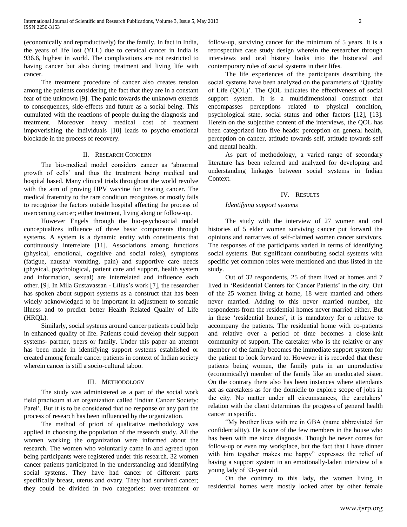(economically and reproductively) for the family. In fact in India, the years of life lost (YLL) due to cervical cancer in India is 936.6, highest in world. The complications are not restricted to having cancer but also during treatment and living life with cancer.

The treatment procedure of cancer also creates tension among the patients considering the fact that they are in a constant fear of the unknown [9]. The panic towards the unknown extends to consequences, side-effects and future as a social being. This cumulated with the reactions of people during the diagnosis and treatment. Moreover heavy medical cost of treatment impoverishing the individuals [10] leads to psycho-emotional blockade in the process of recovery.

#### II. RESEARCH CONCERN

The bio-medical model considers cancer as 'abnormal growth of cells' and thus the treatment being medical and hospital based. Many clinical trials throughout the world revolve with the aim of proving HPV vaccine for treating cancer. The medical fraternity to the rare condition recognizes or mostly fails to recognize the factors outside hospital affecting the process of overcoming cancer; either treatment, living along or follow-up.

However Engels through the bio-psychosocial model conceptualizes influence of three basic components through systems. A system is a dynamic entity with constituents that continuously interrelate [11]. Associations among functions (physical, emotional, cognitive and social roles), symptoms (fatigue, nausea/ vomiting, pain) and supportive care needs (physical, psychological, patient care and support, health system and information, sexual) are interrelated and influence each other. [9]. In Mila Gustavassan - Lilius's work [7], the researcher has spoken about support systems as a construct that has been widely acknowledged to be important in adjustment to somatic illness and to predict better Health Related Quality of Life (HRQL).

Similarly, social systems around cancer patients could help in enhanced quality of life. Patients could develop their support systems- partner, peers or family. Under this paper an attempt has been made in identifying support systems established or created among female cancer patients in context of Indian society wherein cancer is still a socio-cultural taboo.

#### III. METHODOLOGY

The study was administered as a part of the social work field practicum at an organization called 'Indian Cancer Society: Parel'. But it is to be considered that no response or any part the process of research has been influenced by the organization.

The method of priori of qualitative methodology was applied in choosing the population of the research study. All the women working the organization were informed about the research. The women who voluntarily came in and agreed upon being participants were registered under this research. 32 women cancer patients participated in the understanding and identifying social systems. They have had cancer of different parts specifically breast, uterus and ovary. They had survived cancer; they could be divided in two categories: over-treatment or

follow-up, surviving cancer for the minimum of 5 years. It is a retrospective case study design wherein the researcher through interviews and oral history looks into the historical and contemporary roles of social systems in their lifes.

The life experiences of the participants describing the social systems have been analyzed on the parameters of 'Quality of Life (QOL)'. The QOL indicates the effectiveness of social support system. It is a multidimensional construct that encompasses perceptions related to physical condition, psychological state, social status and other factors [12], [13]. Herein on the subjective content of the interviews, the QOL has been categorized into five heads: perception on general health, perception on cancer, attitude towards self, attitude towards self and mental health.

As part of methodology, a varied range of secondary literature has been referred and analyzed for developing and understanding linkages between social systems in Indian Context.

#### IV. RESULTS

#### *Identifying support systems*

The study with the interview of 27 women and oral histories of 5 elder women surviving cancer put forward the opinions and narratives of self-claimed women cancer survivors. The responses of the participants varied in terms of identifying social systems. But significant contributing social systems with specific yet common roles were mentioned and thus listed in the study.

Out of 32 respondents, 25 of them lived at homes and 7 lived in 'Residential Centers for Cancer Patients' in the city. Out of the 25 women living at home, 18 were married and others never married. Adding to this never married number, the respondents from the residential homes never married either. But in these 'residential homes', it is mandatory for a relative to accompany the patients. The residential home with co-patients and relative over a period of time becomes a close-knit community of support. The caretaker who is the relative or any member of the family becomes the immediate support system for the patient to look forward to. However it is recorded that these patients being women, the family puts in an unproductive (economically) member of the family like an uneducated sister. On the contrary there also has been instances where attendants act as caretakers as for the domicile to explore scope of jobs in the city. No matter under all circumstances, the caretakers' relation with the client determines the progress of general health cancer in specific.

"My brother lives with me in GBA (name abbreviated for confidentiality). He is one of the few members in the house who has been with me since diagnosis. Though he never comes for follow-up or even my workplace, but the fact that I have dinner with him together makes me happy" expresses the relief of having a support system in an emotionally-laden interview of a young lady of 33-year old.

On the contrary to this lady, the women living in residential homes were mostly looked after by other female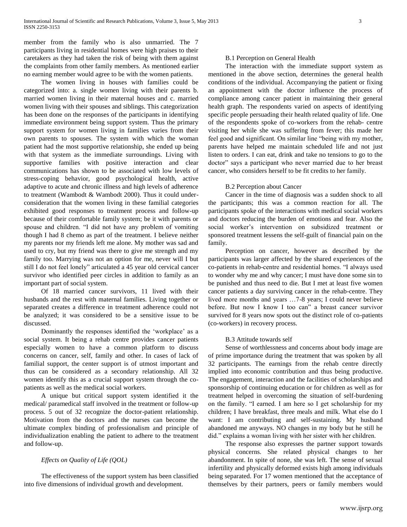member from the family who is also unmarried. The 7 participants living in residential homes were high praises to their caretakers as they had taken the risk of being with them against the complaints from other family members. As mentioned earlier no earning member would agree to be with the women patients.

The women living in houses with families could be categorized into: a. single women living with their parents b. married women living in their maternal houses and c. married women living with their spouses and siblings. This categorization has been done on the responses of the participants in identifying immediate environment being support system. Thus the primary support system for women living in families varies from their own parents to spouses. The system with which the woman patient had the most supportive relationship, she ended up being with that system as the immediate surroundings. Living with supportive families with positive interaction and clear communications has shown to be associated with low levels of stress-coping behavior, good psychological health, active adaptive to acute and chronic illness and high levels of adherence to treatment (Wambodt & Wambodt 2000). Thus it could underconsideration that the women living in these familial categories exhibited good responses to treatment process and follow-up because of their comfortable family system; be it with parents or spouse and children. "I did not have any problem of vomiting though I had 8 chemo as part of the treatment. I believe neither my parents nor my friends left me alone. My mother was sad and used to cry, but my friend was there to give me strength and my family too. Marrying was not an option for me, never will I but still I do not feel lonely" articulated a 45 year old cervical cancer survivor who identified peer circles in addition to family as an important part of social system.

Of 18 married cancer survivors, 11 lived with their husbands and the rest with maternal families. Living together or separated creates a difference in treatment adherence could not be analyzed; it was considered to be a sensitive issue to be discussed.

Dominantly the responses identified the 'workplace' as a social system. It being a rehab centre provides cancer patients especially women to have a common platform to discuss concerns on cancer, self, family and other. In cases of lack of familial support, the center support is of utmost important and thus can be considered as a secondary relationship. All 32 women identify this as a crucial support system through the copatients as well as the medical social workers.

A unique but critical support system identified it the medical/ paramedical staff involved in the treatment or follow-up process. 5 out of 32 recognize the doctor-patient relationship. Motivation from the doctors and the nurses can become the ultimate complex binding of professionalism and principle of individualization enabling the patient to adhere to the treatment and follow-up.

# *Effects on Quality of Life (QOL)*

The effectiveness of the support system has been classified into five dimensions of individual growth and development.

### B.1 Perception on General Health

The interaction with the immediate support system as mentioned in the above section, determines the general health conditions of the individual. Accompanying the patient or fixing an appointment with the doctor influence the process of compliance among cancer patient in maintaining their general health graph. The respondents varied on aspects of identifying specific people persuading their health related quality of life. One of the respondents spoke of co-workers from the rehab- centre visiting her while she was suffering from fever; this made her feel good and significant. On similar line "being with my mother, parents have helped me maintain scheduled life and not just listen to orders. I can eat, drink and take no tensions to go to the doctor" says a participant who never married due to her breast cancer, who considers herself to be fit credits to her family.

## B.2 Perception about Cancer

Cancer in the time of diagnosis was a sudden shock to all the participants; this was a common reaction for all. The participants spoke of the interactions with medical social workers and doctors reducing the burden of emotions and fear. Also the social worker's intervention on subsidized treatment or sponsored treatment lessens the self-guilt of financial pain on the family.

Perception on cancer, however as described by the participants was larger affected by the shared experiences of the co-patients in rehab-centre and residential homes. "I always used to wonder why me and why cancer; I must have done some sin to be punished and thus need to die. But I met at least five women cancer patients a day surviving cancer in the rehab-centre. They lived more months and years …7-8 years; I could never believe before. But now I know I too can" a breast cancer survivor survived for 8 years now spots out the distinct role of co-patients (co-workers) in recovery process.

## B.3 Attitude towards self

Sense of worthlessness and concerns about body image are of prime importance during the treatment that was spoken by all 32 participants. The earnings from the rehab centre directly implied into economic contribution and thus being productive. The engagement, interaction and the facilities of scholarships and sponsorship of continuing education or for children as well as for treatment helped in overcoming the situation of self-burdening on the family. "I earned. I am here so I get scholarship for my children; I have breakfast, three meals and milk. What else do I want: I am contributing and self-sustaining. My husband abandoned me anyways. NO changes in my body but he still he did." explains a woman living with her sister with her children.

The response also expresses the partner support towards physical concerns. She related physical changes to her abandonment. In spite of none, she was left. The sense of sexual infertility and physically deformed exists high among individuals being separated. For 17 women mentioned that the acceptance of themselves by their partners, peers or family members would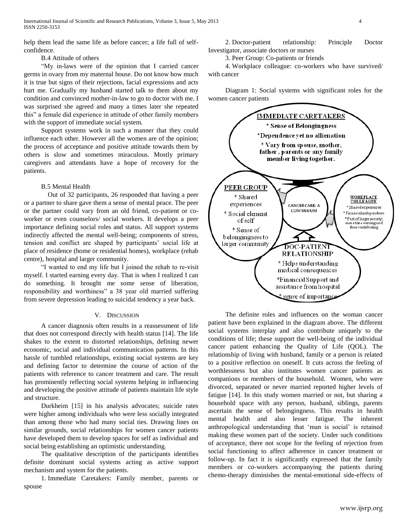help them lead the same life as before cancer; a life full of selfconfidence.

# B.4 Attitude of others

"My in-laws were of the opinion that I carried cancer germs in ovary from my maternal house. Do not know how much it is true but signs of their rejections, facial expressions and acts hurt me. Gradually my husband started talk to them about my condition and convinced mother-in-law to go to doctor with me. I was surprised she agreed and many a times later she repeated this" a female did experience in attitude of other family members with the support of immediate social system.

Support systems work in such a manner that they could influence each other. However all the women are of the opinion; the process of acceptance and positive attitude towards them by others is slow and sometimes miraculous. Mostly primary caregivers and attendants have a hope of recovery for the patients.

# B.5 Mental Health

Out of 32 participants, 26 responded that having a peer or a partner to share gave them a sense of mental peace. The peer or the partner could vary from an old friend, co-patient or coworker or even counselors/ social workers. It develops a peer importance defining social roles and status. All support systems indirectly affected the mental well-being; components of stress, tension and conflict are shaped by participants' social life at place of residence (home or residential homes), workplace (rehab centre), hospital and larger community.

"I wanted to end my life but I joined the rehab to re-visit myself. I started earning every day. That is when I realized I can do something. It brought me some sense of liberation, responsibility and worthiness" a 38 year old married suffering from severe depression leading to suicidal tendency a year back.

## V. DISCUSSION

A cancer diagnosis often results in a reassessment of life that does not correspond directly with health status [14]. The life shakes to the extent to distorted relationships, defining newer economic, social and individual communication patterns. In this hassle of tumbled relationships, existing social systems are key and defining factor to determine the course of action of the patients with reference to cancer treatment and care. The result has prominently reflecting social systems helping in influencing and developing the positive attitude of patients maintain life style and structure.

Durkheim [15] in his analysis advocates; suicide rates were higher among individuals who were less socially integrated than among those who had many social ties. Drawing lines on similar grounds, social relationships for women cancer patients have developed them to develop spaces for self as individual and social being establishing an optimistic understanding.

The qualitative description of the participants identifies definite dominant social systems acting as active support mechanism and system for the patients.

1. Immediate Caretakers: Family member, parents or spouse

2. Doctor-patient relationship: Principle Doctor Investigator, associate doctors or nurses

3. Peer Group: Co-patients or friends

4. Workplace colleague: co-workers who have survived/ with cancer

Diagram 1: Social systems with significant roles for the women cancer patients



The definite roles and influences on the woman cancer patient have been explained in the diagram above. The different social systems interplay and also contribute uniquely to the conditions of life; these support the well-being of the individual cancer patient enhancing the Quality of Life (QOL). The relationship of living with husband, family or a person is related to a positive reflection on oneself. It cuts across the feeling of worthlessness but also institutes women cancer patients as companions or members of the household. Women, who were divorced, separated or never married reported higher levels of fatigue [14]. In this study women married or not, but sharing a household space with any person, husband, siblings, parents ascertain the sense of belongingness. This results in health mental health and also lesser fatigue. The inherent anthropological understanding that 'man is social' is retained making these women part of the society. Under such conditions of acceptance, there not scope for the feeling of rejection from social functioning to affect adherence in cancer treatment or follow-up. In fact it is significantly expressed that the family members or co-workers accompanying the patients during chemo-therapy diminishes the mental-emotional side-effects of